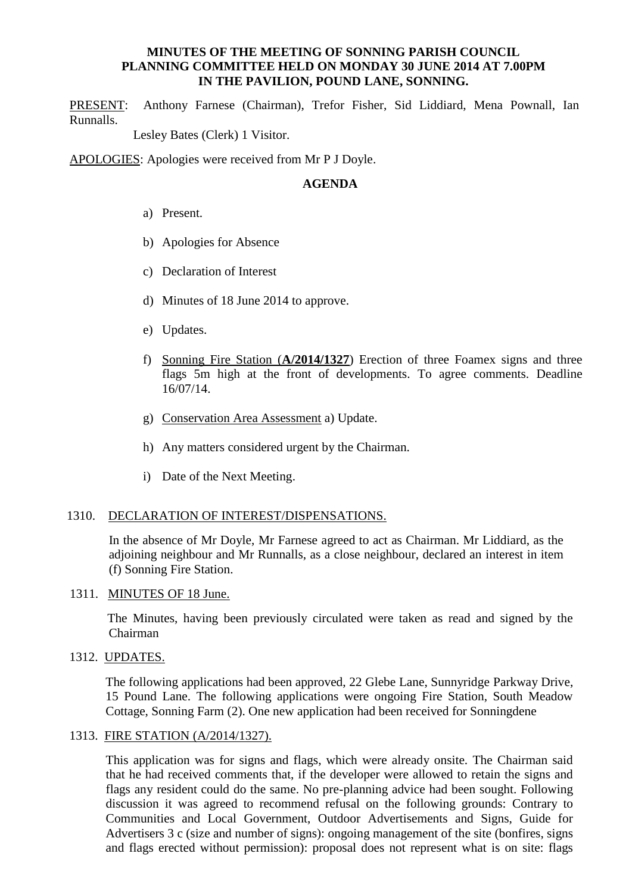### **MINUTES OF THE MEETING OF SONNING PARISH COUNCIL PLANNING COMMITTEE HELD ON MONDAY 30 JUNE 2014 AT 7.00PM IN THE PAVILION, POUND LANE, SONNING.**

PRESENT: Anthony Farnese (Chairman), Trefor Fisher, Sid Liddiard, Mena Pownall, Ian Runnalls.

Lesley Bates (Clerk) 1 Visitor.

APOLOGIES: Apologies were received from Mr P J Doyle.

## **AGENDA**

- a) Present.
- b) Apologies for Absence
- c) Declaration of Interest
- d) Minutes of 18 June 2014 to approve.
- e) Updates.
- f) Sonning Fire Station (**A/2014/1327**) Erection of three Foamex signs and three flags 5m high at the front of developments. To agree comments. Deadline 16/07/14.
- g) Conservation Area Assessment a) Update.
- h) Any matters considered urgent by the Chairman.
- i) Date of the Next Meeting.

#### 1310. DECLARATION OF INTEREST/DISPENSATIONS.

In the absence of Mr Doyle, Mr Farnese agreed to act as Chairman. Mr Liddiard, as the adjoining neighbour and Mr Runnalls, as a close neighbour, declared an interest in item (f) Sonning Fire Station.

1311. MINUTES OF 18 June.

 The Minutes, having been previously circulated were taken as read and signed by the Chairman

1312. UPDATES.

The following applications had been approved, 22 Glebe Lane, Sunnyridge Parkway Drive, 15 Pound Lane. The following applications were ongoing Fire Station, South Meadow Cottage, Sonning Farm (2). One new application had been received for Sonningdene

#### 1313. FIRE STATION (A/2014/1327).

This application was for signs and flags, which were already onsite. The Chairman said that he had received comments that, if the developer were allowed to retain the signs and flags any resident could do the same. No pre-planning advice had been sought. Following discussion it was agreed to recommend refusal on the following grounds: Contrary to Communities and Local Government, Outdoor Advertisements and Signs, Guide for Advertisers 3 c (size and number of signs): ongoing management of the site (bonfires, signs and flags erected without permission): proposal does not represent what is on site: flags